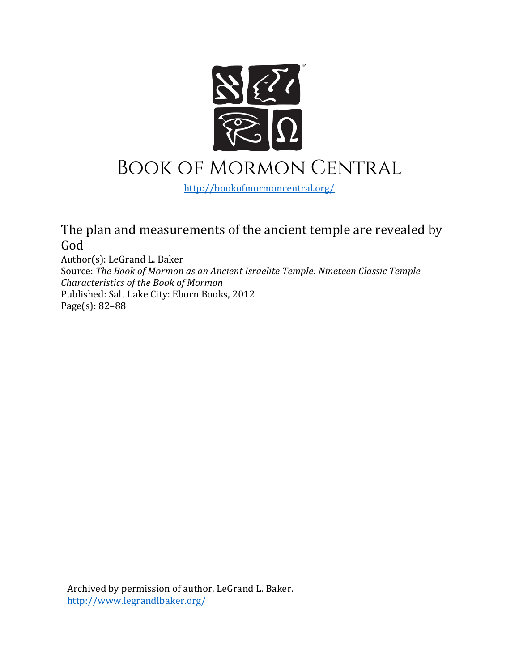

## Book of Mormon Central

<http://bookofmormoncentral.org/>

## The plan and measurements of the ancient temple are revealed by God

Author(s): LeGrand L. Baker Source: *The Book of Mormon as an Ancient Israelite Temple: Nineteen Classic Temple Characteristics of the Book of Mormon*  Published: Salt Lake City: Eborn Books, 2012 Page(s): 82–88

Archived by permission of author, LeGrand L. Baker. <http://www.legrandlbaker.org/>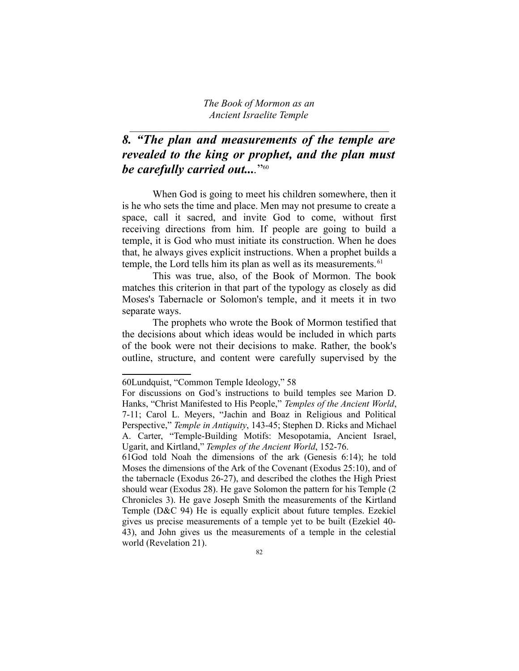$\mathcal{L}_\text{max}$  , and the contract of the contract of the contract of the contract of the contract of the contract of the contract of the contract of the contract of the contract of the contract of the contract of the contr

## *8. "The plan and measurements of the temple are revealed to the king or prophet, and the plan must be carefully carried out....*" [60](#page-1-0)

When God is going to meet his children somewhere, then it is he who sets the time and place. Men may not presume to create a space, call it sacred, and invite God to come, without first receiving directions from him. If people are going to build a temple, it is God who must initiate its construction. When he does that, he always gives explicit instructions. When a prophet builds a temple, the Lord tells him its plan as well as its measurements.<sup>[61](#page-1-1)</sup>

This was true, also, of the Book of Mormon. The book matches this criterion in that part of the typology as closely as did Moses's Tabernacle or Solomon's temple, and it meets it in two separate ways.

The prophets who wrote the Book of Mormon testified that the decisions about which ideas would be included in which parts of the book were not their decisions to make. Rather, the book's outline, structure, and content were carefully supervised by the

<span id="page-1-0"></span><sup>60</sup>Lundquist, "Common Temple Ideology," 58

For discussions on God's instructions to build temples see Marion D. Hanks, "Christ Manifested to His People," *Temples of the Ancient World*, 7-11; Carol L. Meyers, "Jachin and Boaz in Religious and Political Perspective," *Temple in Antiquity*, 143-45; Stephen D. Ricks and Michael A. Carter, "Temple-Building Motifs: Mesopotamia, Ancient Israel, Ugarit, and Kirtland," *Temples of the Ancient World*, 152-76.

<span id="page-1-1"></span><sup>61</sup>God told Noah the dimensions of the ark (Genesis 6:14); he told Moses the dimensions of the Ark of the Covenant (Exodus 25:10), and of the tabernacle (Exodus 26-27), and described the clothes the High Priest should wear (Exodus 28). He gave Solomon the pattern for his Temple (2 Chronicles 3). He gave Joseph Smith the measurements of the Kirtland Temple (D&C 94) He is equally explicit about future temples. Ezekiel gives us precise measurements of a temple yet to be built (Ezekiel 40- 43), and John gives us the measurements of a temple in the celestial world (Revelation 21).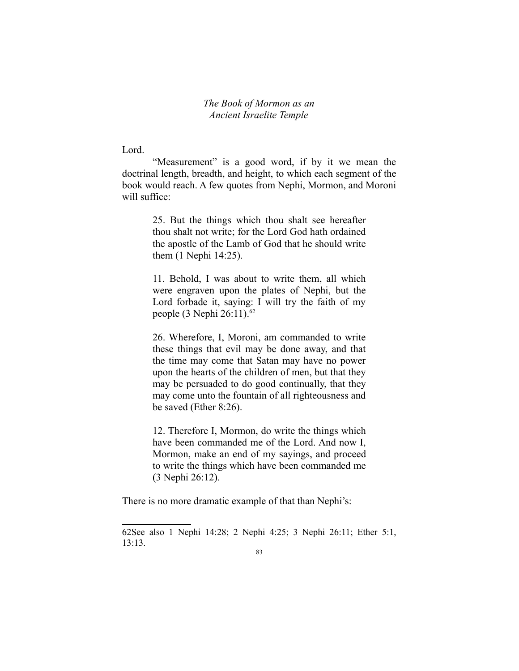Lord.

"Measurement" is a good word, if by it we mean the doctrinal length, breadth, and height, to which each segment of the book would reach. A few quotes from Nephi, Mormon, and Moroni will suffice:

> 25. But the things which thou shalt see hereafter thou shalt not write; for the Lord God hath ordained the apostle of the Lamb of God that he should write them (1 Nephi 14:25).

> 11. Behold, I was about to write them, all which were engraven upon the plates of Nephi, but the Lord forbade it, saying: I will try the faith of my people (3 Nephi 26:11).<sup>[62](#page-2-0)</sup>

> 26. Wherefore, I, Moroni, am commanded to write these things that evil may be done away, and that the time may come that Satan may have no power upon the hearts of the children of men, but that they may be persuaded to do good continually, that they may come unto the fountain of all righteousness and be saved (Ether 8:26).

> 12. Therefore I, Mormon, do write the things which have been commanded me of the Lord. And now I, Mormon, make an end of my sayings, and proceed to write the things which have been commanded me (3 Nephi 26:12).

There is no more dramatic example of that than Nephi's:

<span id="page-2-0"></span><sup>62</sup>See also 1 Nephi 14:28; 2 Nephi 4:25; 3 Nephi 26:11; Ether 5:1, 13:13.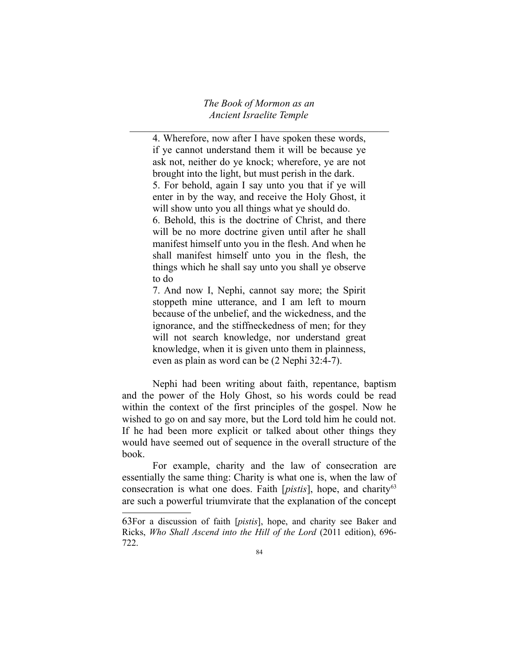*The Book of Mormon as an Ancient Israelite Temple*  $\mathcal{L}_\text{max}$  , and the contract of the contract of the contract of the contract of the contract of the contract of the contract of the contract of the contract of the contract of the contract of the contract of the contr

4. Wherefore, now after I have spoken these words, if ye cannot understand them it will be because ye ask not, neither do ye knock; wherefore, ye are not brought into the light, but must perish in the dark. 5. For behold, again I say unto you that if ye will enter in by the way, and receive the Holy Ghost, it will show unto you all things what ye should do. 6. Behold, this is the doctrine of Christ, and there will be no more doctrine given until after he shall manifest himself unto you in the flesh. And when he shall manifest himself unto you in the flesh, the things which he shall say unto you shall ye observe to do

7. And now I, Nephi, cannot say more; the Spirit stoppeth mine utterance, and I am left to mourn because of the unbelief, and the wickedness, and the ignorance, and the stiffneckedness of men; for they will not search knowledge, nor understand great knowledge, when it is given unto them in plainness, even as plain as word can be (2 Nephi 32:4-7).

Nephi had been writing about faith, repentance, baptism and the power of the Holy Ghost, so his words could be read within the context of the first principles of the gospel. Now he wished to go on and say more, but the Lord told him he could not. If he had been more explicit or talked about other things they would have seemed out of sequence in the overall structure of the book.

For example, charity and the law of consecration are essentially the same thing: Charity is what one is, when the law of consecration is what one does. Faith [*pistis*], hope, and charity<sup>[63](#page-3-0)</sup> are such a powerful triumvirate that the explanation of the concept

<span id="page-3-0"></span><sup>63</sup>For a discussion of faith [*pistis*], hope, and charity see Baker and Ricks, *Who Shall Ascend into the Hill of the Lord* (2011 edition), 696- 722.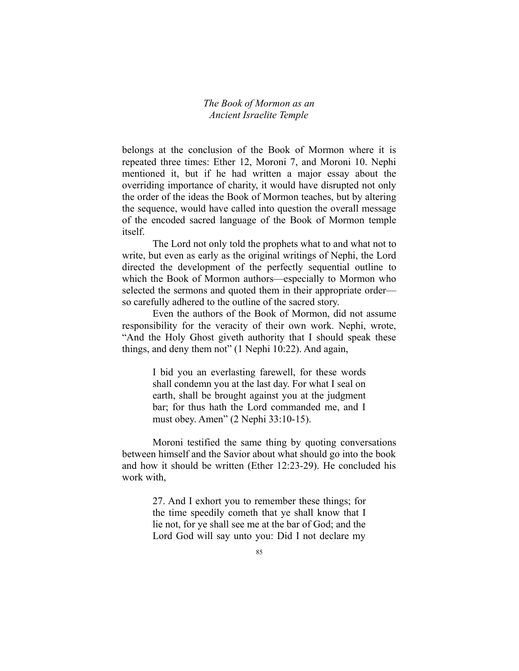belongs at the conclusion of the Book of Mormon where it is repeated three times: Ether 12, Moroni 7, and Moroni 10. Nephi mentioned it, but if he had written a major essay about the overriding importance of charity, it would have disrupted not only the order of the ideas the Book of Mormon teaches, but by altering the sequence, would have called into question the overall message of the encoded sacred language of the Book of Mormon temple itself.

The Lord not only told the prophets what to and what not to write, but even as early as the original writings of Nephi, the Lord directed the development of the perfectly sequential outline to which the Book of Mormon authors—especially to Mormon who selected the sermons and quoted them in their appropriate order so carefully adhered to the outline of the sacred story.

Even the authors of the Book of Mormon, did not assume responsibility for the veracity of their own work. Nephi, wrote, "And the Holy Ghost giveth authority that I should speak these things, and deny them not" (1 Nephi 10:22). And again,

> I bid you an everlasting farewell, for these words shall condemn you at the last day. For what I seal on earth, shall be brought against you at the judgment bar; for thus hath the Lord commanded me, and I must obey. Amen" (2 Nephi 33:10-15).

Moroni testified the same thing by quoting conversations between himself and the Savior about what should go into the book and how it should be written (Ether 12:23-29). He concluded his work with,

> 27. And I exhort you to remember these things; for the time speedily cometh that ye shall know that I lie not, for ye shall see me at the bar of God; and the Lord God will say unto you: Did I not declare my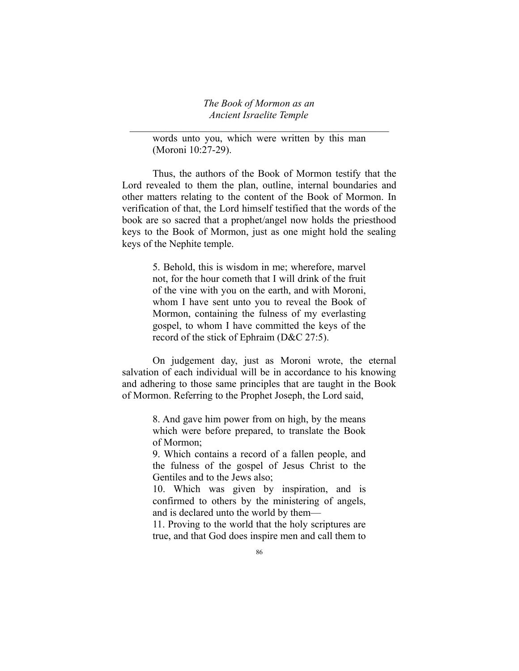$\mathcal{L}_\text{max}$  , and the contract of the contract of the contract of the contract of the contract of the contract of the contract of the contract of the contract of the contract of the contract of the contract of the contr

words unto you, which were written by this man (Moroni 10:27-29).

Thus, the authors of the Book of Mormon testify that the Lord revealed to them the plan, outline, internal boundaries and other matters relating to the content of the Book of Mormon. In verification of that, the Lord himself testified that the words of the book are so sacred that a prophet/angel now holds the priesthood keys to the Book of Mormon, just as one might hold the sealing keys of the Nephite temple.

> 5. Behold, this is wisdom in me; wherefore, marvel not, for the hour cometh that I will drink of the fruit of the vine with you on the earth, and with Moroni, whom I have sent unto you to reveal the Book of Mormon, containing the fulness of my everlasting gospel, to whom I have committed the keys of the record of the stick of Ephraim (D&C 27:5).

On judgement day, just as Moroni wrote, the eternal salvation of each individual will be in accordance to his knowing and adhering to those same principles that are taught in the Book of Mormon. Referring to the Prophet Joseph, the Lord said,

> 8. And gave him power from on high, by the means which were before prepared, to translate the Book of Mormon;

> 9. Which contains a record of a fallen people, and the fulness of the gospel of Jesus Christ to the Gentiles and to the Jews also;

> 10. Which was given by inspiration, and is confirmed to others by the ministering of angels, and is declared unto the world by them—

> 11. Proving to the world that the holy scriptures are true, and that God does inspire men and call them to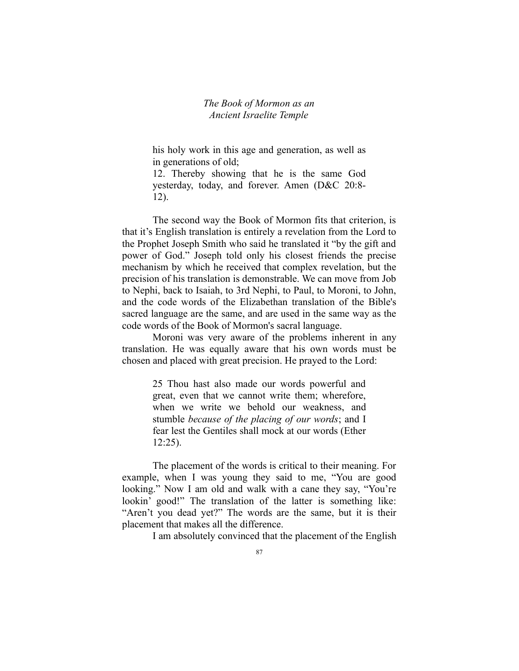his holy work in this age and generation, as well as in generations of old;

12. Thereby showing that he is the same God yesterday, today, and forever. Amen (D&C 20:8- 12).

The second way the Book of Mormon fits that criterion, is that it's English translation is entirely a revelation from the Lord to the Prophet Joseph Smith who said he translated it "by the gift and power of God." Joseph told only his closest friends the precise mechanism by which he received that complex revelation, but the precision of his translation is demonstrable. We can move from Job to Nephi, back to Isaiah, to 3rd Nephi, to Paul, to Moroni, to John, and the code words of the Elizabethan translation of the Bible's sacred language are the same, and are used in the same way as the code words of the Book of Mormon's sacral language.

Moroni was very aware of the problems inherent in any translation. He was equally aware that his own words must be chosen and placed with great precision. He prayed to the Lord:

> 25 Thou hast also made our words powerful and great, even that we cannot write them; wherefore, when we write we behold our weakness, and stumble *because of the placing of our words*; and I fear lest the Gentiles shall mock at our words (Ether 12:25).

The placement of the words is critical to their meaning. For example, when I was young they said to me, "You are good looking." Now I am old and walk with a cane they say, "You're lookin' good!" The translation of the latter is something like: "Aren't you dead yet?" The words are the same, but it is their placement that makes all the difference.

I am absolutely convinced that the placement of the English